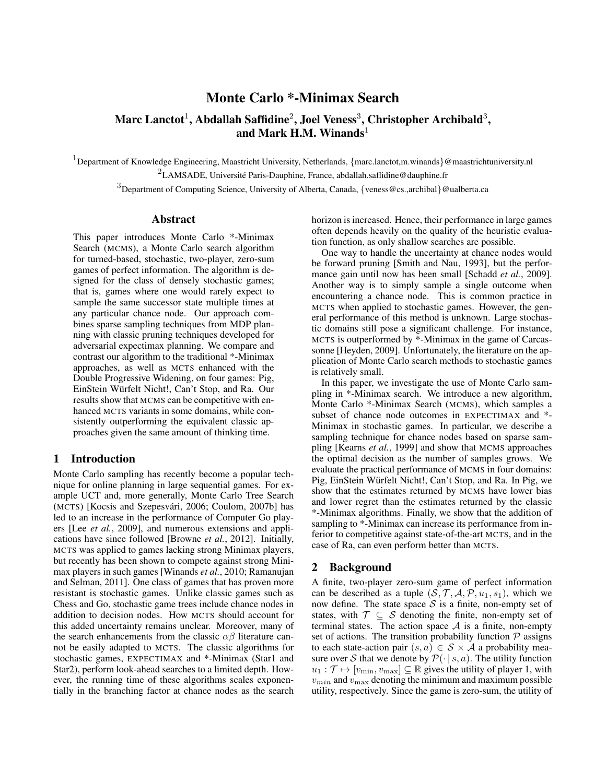# Monte Carlo \*-Minimax Search

# Marc Lanctot $^1$ , Abdallah Saffidine $^2$ , Joel Veness $^3$ , Christopher Archibald $^3,$ and Mark H.M. Winands<sup>1</sup>

<sup>1</sup>Department of Knowledge Engineering, Maastricht University, Netherlands, {marc.lanctot,m.winands}@maastrichtuniversity.nl

 ${}^{2}$ LAMSADE, Université Paris-Dauphine, France, abdallah.saffidine@dauphine.fr

<sup>3</sup>Department of Computing Science, University of Alberta, Canada, {veness@cs.,archibal}@ualberta.ca

## Abstract

This paper introduces Monte Carlo \*-Minimax Search (MCMS), a Monte Carlo search algorithm for turned-based, stochastic, two-player, zero-sum games of perfect information. The algorithm is designed for the class of densely stochastic games; that is, games where one would rarely expect to sample the same successor state multiple times at any particular chance node. Our approach combines sparse sampling techniques from MDP planning with classic pruning techniques developed for adversarial expectimax planning. We compare and contrast our algorithm to the traditional \*-Minimax approaches, as well as MCTS enhanced with the Double Progressive Widening, on four games: Pig, EinStein Wurfelt Nicht!, Can't Stop, and Ra. Our ¨ results show that MCMS can be competitive with enhanced MCTS variants in some domains, while consistently outperforming the equivalent classic approaches given the same amount of thinking time.

## 1 Introduction

Monte Carlo sampling has recently become a popular technique for online planning in large sequential games. For example UCT and, more generally, Monte Carlo Tree Search (MCTS) [Kocsis and Szepesvári, 2006; Coulom, 2007b] has led to an increase in the performance of Computer Go players [Lee *et al.*, 2009], and numerous extensions and applications have since followed [Browne *et al.*, 2012]. Initially, MCTS was applied to games lacking strong Minimax players, but recently has been shown to compete against strong Minimax players in such games [Winands *et al.*, 2010; Ramanujan and Selman, 2011]. One class of games that has proven more resistant is stochastic games. Unlike classic games such as Chess and Go, stochastic game trees include chance nodes in addition to decision nodes. How MCTS should account for this added uncertainty remains unclear. Moreover, many of the search enhancements from the classic  $\alpha\beta$  literature cannot be easily adapted to MCTS. The classic algorithms for stochastic games, EXPECTIMAX and \*-Minimax (Star1 and Star2), perform look-ahead searches to a limited depth. However, the running time of these algorithms scales exponentially in the branching factor at chance nodes as the search horizon is increased. Hence, their performance in large games often depends heavily on the quality of the heuristic evaluation function, as only shallow searches are possible.

One way to handle the uncertainty at chance nodes would be forward pruning [Smith and Nau, 1993], but the performance gain until now has been small [Schadd *et al.*, 2009]. Another way is to simply sample a single outcome when encountering a chance node. This is common practice in MCTS when applied to stochastic games. However, the general performance of this method is unknown. Large stochastic domains still pose a significant challenge. For instance, MCTS is outperformed by \*-Minimax in the game of Carcassonne [Heyden, 2009]. Unfortunately, the literature on the application of Monte Carlo search methods to stochastic games is relatively small.

In this paper, we investigate the use of Monte Carlo sampling in \*-Minimax search. We introduce a new algorithm, Monte Carlo \*-Minimax Search (MCMS), which samples a subset of chance node outcomes in EXPECTIMAX and \*- Minimax in stochastic games. In particular, we describe a sampling technique for chance nodes based on sparse sampling [Kearns *et al.*, 1999] and show that MCMS approaches the optimal decision as the number of samples grows. We evaluate the practical performance of MCMS in four domains: Pig, EinStein Wurfelt Nicht!, Can't Stop, and Ra. In Pig, we ¨ show that the estimates returned by MCMS have lower bias and lower regret than the estimates returned by the classic \*-Minimax algorithms. Finally, we show that the addition of sampling to  $*$ -Minimax can increase its performance from inferior to competitive against state-of-the-art MCTS, and in the case of Ra, can even perform better than MCTS.

## 2 Background

A finite, two-player zero-sum game of perfect information can be described as a tuple  $(S, \mathcal{T}, \mathcal{A}, \mathcal{P}, u_1, s_1)$ , which we now define. The state space  $S$  is a finite, non-empty set of states, with  $\mathcal{T} \subseteq \mathcal{S}$  denoting the finite, non-empty set of terminal states. The action space  $A$  is a finite, non-empty set of actions. The transition probability function  $P$  assigns to each state-action pair  $(s, a) \in S \times A$  a probability measure over S that we denote by  $\mathcal{P}(\cdot | s, a)$ . The utility function  $u_1 : \mathcal{T} \mapsto [v_{\min}, v_{\max}] \subseteq \mathbb{R}$  gives the utility of player 1, with  $v_{min}$  and  $v_{max}$  denoting the minimum and maximum possible utility, respectively. Since the game is zero-sum, the utility of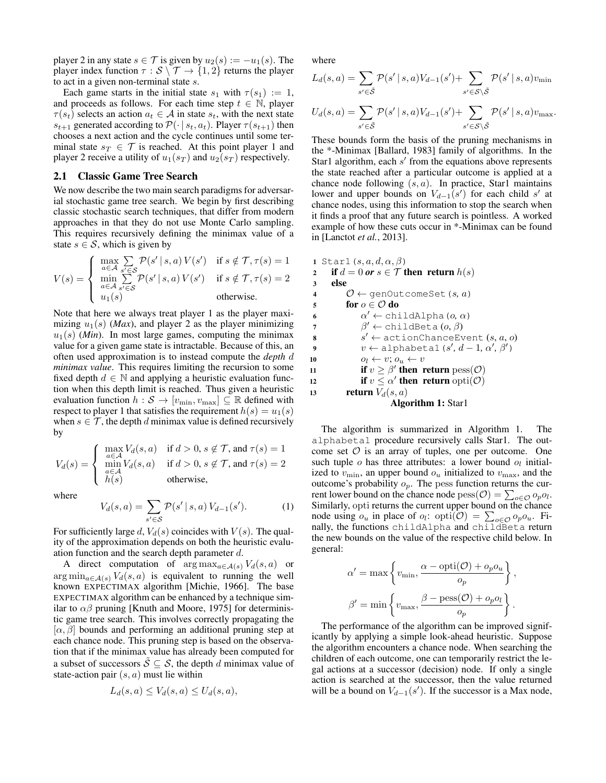player 2 in any state  $s \in \mathcal{T}$  is given by  $u_2(s) := -u_1(s)$ . The player index function  $\tau : \mathcal{S} \setminus \mathcal{T} \to \{1,2\}$  returns the player to act in a given non-terminal state s.

Each game starts in the initial state  $s_1$  with  $\tau(s_1) := 1$ , and proceeds as follows. For each time step  $t \in \mathbb{N}$ , player  $\tau(s_t)$  selects an action  $a_t \in \mathcal{A}$  in state  $s_t$ , with the next state  $s_{t+1}$  generated according to  $\mathcal{P}(\cdot | s_t, a_t)$ . Player  $\tau(s_{t+1})$  then chooses a next action and the cycle continues until some terminal state  $s_T \in \mathcal{T}$  is reached. At this point player 1 and player 2 receive a utility of  $u_1(s_T)$  and  $u_2(s_T)$  respectively.

#### 2.1 Classic Game Tree Search

We now describe the two main search paradigms for adversarial stochastic game tree search. We begin by first describing classic stochastic search techniques, that differ from modern approaches in that they do not use Monte Carlo sampling. This requires recursively defining the minimax value of a state  $s \in S$ , which is given by

$$
V(s) = \begin{cases} \max_{a \in \mathcal{A}} \sum_{s' \in \mathcal{S}} \mathcal{P}(s' \mid s, a) \, V(s') & \text{if } s \notin \mathcal{T}, \tau(s) = 1\\ \min_{a \in \mathcal{A}} \sum_{s' \in \mathcal{S}} \mathcal{P}(s' \mid s, a) \, V(s') & \text{if } s \notin \mathcal{T}, \tau(s) = 2\\ u_1(s) & \text{otherwise.} \end{cases}
$$

Note that here we always treat player 1 as the player maximizing  $u_1(s)$  (*Max*), and player 2 as the player minimizing  $u_1(s)$  (*Min*). In most large games, computing the minimax value for a given game state is intractable. Because of this, an often used approximation is to instead compute the *depth* d *minimax value*. This requires limiting the recursion to some fixed depth  $d \in \mathbb{N}$  and applying a heuristic evaluation function when this depth limit is reached. Thus given a heuristic evaluation function  $h : \mathcal{S} \to [v_{\min}, v_{\max}] \subseteq \mathbb{R}$  defined with respect to player 1 that satisfies the requirement  $h(s) = u_1(s)$ when  $s \in \mathcal{T}$ , the depth d minimax value is defined recursively by

$$
V_d(s) = \begin{cases} \max_{a \in \mathcal{A}} V_d(s, a) & \text{if } d > 0, s \notin \mathcal{T}, \text{ and } \tau(s) = 1 \\ \min_{\substack{a \in \mathcal{A} \\ h(s)}} V_d(s, a) & \text{if } d > 0, s \notin \mathcal{T}, \text{ and } \tau(s) = 2 \\ \text{otherwise}, \end{cases}
$$

where

$$
V_d(s, a) = \sum_{s' \in S} \mathcal{P}(s' \mid s, a) V_{d-1}(s'). \tag{1}
$$

For sufficiently large d,  $V_d(s)$  coincides with  $V(s)$ . The quality of the approximation depends on both the heuristic evaluation function and the search depth parameter  $d$ .

A direct computation of  $\arg \max_{a \in \mathcal{A}(s)} V_d(s, a)$  or  $\arg \min_{a \in \mathcal{A}(s)} V_d(s, a)$  is equivalent to running the well known EXPECTIMAX algorithm [Michie, 1966]. The base EXPECTIMAX algorithm can be enhanced by a technique similar to  $\alpha\beta$  pruning [Knuth and Moore, 1975] for deterministic game tree search. This involves correctly propagating the  $[\alpha, \beta]$  bounds and performing an additional pruning step at each chance node. This pruning step is based on the observation that if the minimax value has already been computed for a subset of successors  $\tilde{S} \subseteq S$ , the depth d minimax value of state-action pair  $(s, a)$  must lie within

$$
L_d(s, a) \le V_d(s, a) \le U_d(s, a),
$$

where

$$
L_d(s, a) = \sum_{s' \in \tilde{S}} \mathcal{P}(s' \mid s, a) V_{d-1}(s') + \sum_{s' \in S \setminus \tilde{S}} \mathcal{P}(s' \mid s, a) v_{\min}
$$
  

$$
U_d(s, a) = \sum_{s' \in \tilde{S}} \mathcal{P}(s' \mid s, a) V_{d-1}(s') + \sum_{s' \in S \setminus \tilde{S}} \mathcal{P}(s' \mid s, a) v_{\max}.
$$

These bounds form the basis of the pruning mechanisms in the \*-Minimax [Ballard, 1983] family of algorithms. In the Star1 algorithm, each  $s'$  from the equations above represents the state reached after a particular outcome is applied at a chance node following  $(s, a)$ . In practice, Star1 maintains lower and upper bounds on  $V_{d-1}(s')$  for each child s' at chance nodes, using this information to stop the search when it finds a proof that any future search is pointless. A worked example of how these cuts occur in \*-Minimax can be found in [Lanctot *et al.*, 2013].

1 Star1 
$$
(s, a, d, \alpha, \beta)
$$
  
\n2 if  $d = 0$  or  $s \in \mathcal{T}$  then return  $h(s)$   
\n3 else  
\n4  $0 \leftarrow \text{genOutcomeSet}(s, a)$   
\n5 for  $0 \in \mathcal{O}$  do  
\n6  $\alpha' \leftarrow \text{childAlpha}(o, \alpha)$   
\n7  $\beta' \leftarrow \text{childBeta}(o, \beta)$   
\n8  $s' \leftarrow \text{actionChangeEvent}(s, a, o)$   
\n9  $v \leftarrow \text{alphabetal}(s', d-1, \alpha', \beta')$   
\n10  $o_i \leftarrow v; o_u \leftarrow v$   
\n11 if  $v \geq \beta'$  then return  $\text{pess}(\mathcal{O})$   
\n12 if  $v \leq \alpha'$  then return  $\text{opti}(\mathcal{O})$   
\n13 return  $V_d(s, a)$   
\nAlgorithm 1: Star1

The algorithm is summarized in Algorithm 1. The alphabeta1 procedure recursively calls Star1. The outcome set  $\mathcal O$  is an array of tuples, one per outcome. One such tuple  $o$  has three attributes: a lower bound  $o_l$  initialized to  $v_{\text{min}}$ , an upper bound  $o_u$  initialized to  $v_{\text{max}}$ , and the outcome's probability  $o_p$ . The pess function returns the current lower bound on the chance node  $\text{pess}(\mathcal{O}) = \sum_{o \in \mathcal{O}} o_p o_l$ . Similarly, opti returns the current upper bound on the chance node using  $o_u$  in place of  $o_l$ :  $\text{opti}(\mathcal{O}) = \sum_{o \in \mathcal{O}} o_p o_u$ . Finally, the functions childAlpha and childBeta return the new bounds on the value of the respective child below. In general:

$$
\alpha' = \max \left\{ v_{\min}, \frac{\alpha - \text{opti}(\mathcal{O}) + o_p o_u}{o_p} \right\},
$$

$$
\beta' = \min \left\{ v_{\max}, \frac{\beta - \text{pess}(\mathcal{O}) + o_p o_l}{o_p} \right\}.
$$

The performance of the algorithm can be improved significantly by applying a simple look-ahead heuristic. Suppose the algorithm encounters a chance node. When searching the children of each outcome, one can temporarily restrict the legal actions at a successor (decision) node. If only a single action is searched at the successor, then the value returned will be a bound on  $V_{d-1}(s')$ . If the successor is a Max node,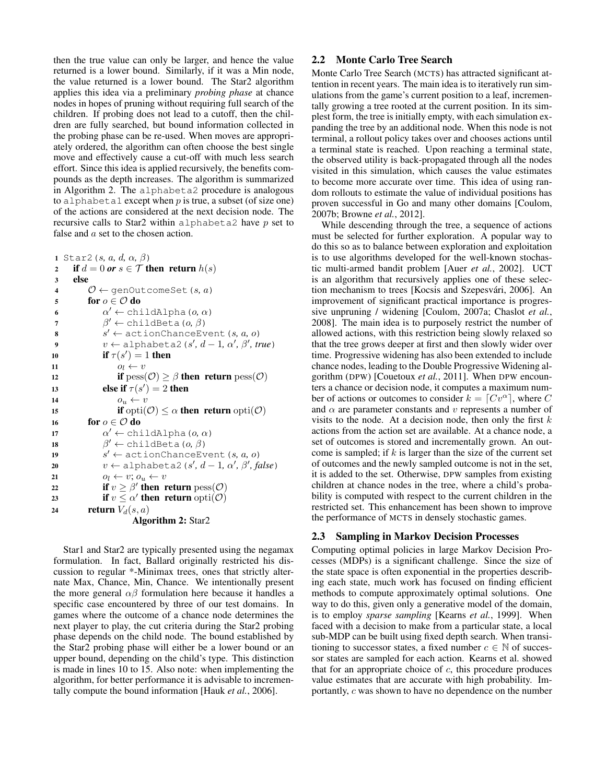then the true value can only be larger, and hence the value returned is a lower bound. Similarly, if it was a Min node, the value returned is a lower bound. The Star2 algorithm applies this idea via a preliminary *probing phase* at chance nodes in hopes of pruning without requiring full search of the children. If probing does not lead to a cutoff, then the children are fully searched, but bound information collected in the probing phase can be re-used. When moves are appropriately ordered, the algorithm can often choose the best single move and effectively cause a cut-off with much less search effort. Since this idea is applied recursively, the benefits compounds as the depth increases. The algorithm is summarized in Algorithm 2. The alphabeta2 procedure is analogous to alphabeta1 except when  $p$  is true, a subset (of size one) of the actions are considered at the next decision node. The recursive calls to Star2 within alphabeta2 have  $p$  set to false and  $a$  set to the chosen action.

<sup>1</sup> Star2(s*,* a*,* d*,* α*,* β) 2 if  $d = 0$  or  $s \in \mathcal{T}$  then return  $h(s)$ <sup>3</sup> else 4  $\mathcal{O} \leftarrow$  genOutcomeSet  $(s, a)$ 5 for  $o \in \mathcal{O}$  do 6  $\alpha' \leftarrow \text{childAlpha}(o, \alpha)$  $\beta' \leftarrow \text{childBeta}(o, \beta)$  $\boldsymbol{s}$   $s$  $s' \leftarrow$  actionChanceEvent(s, a, o) 9  $v \leftarrow \text{alphabeta2}(s', d-1, \alpha', \beta', \text{true})$ 10 if  $\tau(s') = 1$  then 11  $o_l \leftarrow v$ 12 if  $pess(\mathcal{O}) \geq \beta$  then return  $pess(\mathcal{O})$ 13 else if  $\tau(s') = 2$  then 14  $o_u \leftarrow v$ 15 if opti $(\mathcal{O}) \leq \alpha$  then return opti $(\mathcal{O})$ 16 for  $o \in \mathcal{O}$  do 17  $\alpha' \leftarrow \text{childAlpha}(o, \alpha)$ 18  $\beta' \leftarrow \text{childBeta}(o, \beta)$  $19 \hspace{1.5cm} s$  $s' \leftarrow$  actionChanceEvent(s, a, o)  $v \leftarrow \text{alphabeta2}(s', d-1, \alpha', \beta', \text{false})$ 21  $o_l \leftarrow v; o_u \leftarrow v$ 22 if  $v \ge \beta'$  then return  $\text{pess}(\mathcal{O})$ 23 if  $v \leq \alpha'$  then return  $\text{opti}(\mathcal{O})$ 24 return  $V_d(s, a)$ Algorithm 2: Star2

Star1 and Star2 are typically presented using the negamax formulation. In fact, Ballard originally restricted his discussion to regular \*-Minimax trees, ones that strictly alternate Max, Chance, Min, Chance. We intentionally present the more general  $\alpha\beta$  formulation here because it handles a specific case encountered by three of our test domains. In games where the outcome of a chance node determines the next player to play, the cut criteria during the Star2 probing phase depends on the child node. The bound established by the Star2 probing phase will either be a lower bound or an upper bound, depending on the child's type. This distinction is made in lines 10 to 15. Also note: when implementing the algorithm, for better performance it is advisable to incrementally compute the bound information [Hauk *et al.*, 2006].

#### 2.2 Monte Carlo Tree Search

Monte Carlo Tree Search (MCTS) has attracted significant attention in recent years. The main idea is to iteratively run simulations from the game's current position to a leaf, incrementally growing a tree rooted at the current position. In its simplest form, the tree is initially empty, with each simulation expanding the tree by an additional node. When this node is not terminal, a rollout policy takes over and chooses actions until a terminal state is reached. Upon reaching a terminal state, the observed utility is back-propagated through all the nodes visited in this simulation, which causes the value estimates to become more accurate over time. This idea of using random rollouts to estimate the value of individual positions has proven successful in Go and many other domains [Coulom, 2007b; Browne *et al.*, 2012].

While descending through the tree, a sequence of actions must be selected for further exploration. A popular way to do this so as to balance between exploration and exploitation is to use algorithms developed for the well-known stochastic multi-armed bandit problem [Auer *et al.*, 2002]. UCT is an algorithm that recursively applies one of these selection mechanism to trees [Kocsis and Szepesvári, 2006]. An improvement of significant practical importance is progressive unpruning / widening [Coulom, 2007a; Chaslot *et al.*, 2008]. The main idea is to purposely restrict the number of allowed actions, with this restriction being slowly relaxed so that the tree grows deeper at first and then slowly wider over time. Progressive widening has also been extended to include chance nodes, leading to the Double Progressive Widening algorithm (DPW) [Couetoux *et al.*, 2011]. When DPW encounters a chance or decision node, it computes a maximum number of actions or outcomes to consider  $k = [Cv^{\alpha}]$ , where C and  $\alpha$  are parameter constants and v represents a number of visits to the node. At a decision node, then only the first  $k$ actions from the action set are available. At a chance node, a set of outcomes is stored and incrementally grown. An outcome is sampled; if  $k$  is larger than the size of the current set of outcomes and the newly sampled outcome is not in the set, it is added to the set. Otherwise, DPW samples from existing children at chance nodes in the tree, where a child's probability is computed with respect to the current children in the restricted set. This enhancement has been shown to improve the performance of MCTS in densely stochastic games.

#### 2.3 Sampling in Markov Decision Processes

Computing optimal policies in large Markov Decision Processes (MDPs) is a significant challenge. Since the size of the state space is often exponential in the properties describing each state, much work has focused on finding efficient methods to compute approximately optimal solutions. One way to do this, given only a generative model of the domain, is to employ *sparse sampling* [Kearns *et al.*, 1999]. When faced with a decision to make from a particular state, a local sub-MDP can be built using fixed depth search. When transitioning to successor states, a fixed number  $c \in \mathbb{N}$  of successor states are sampled for each action. Kearns et al. showed that for an appropriate choice of  $c$ , this procedure produces value estimates that are accurate with high probability. Importantly, c was shown to have no dependence on the number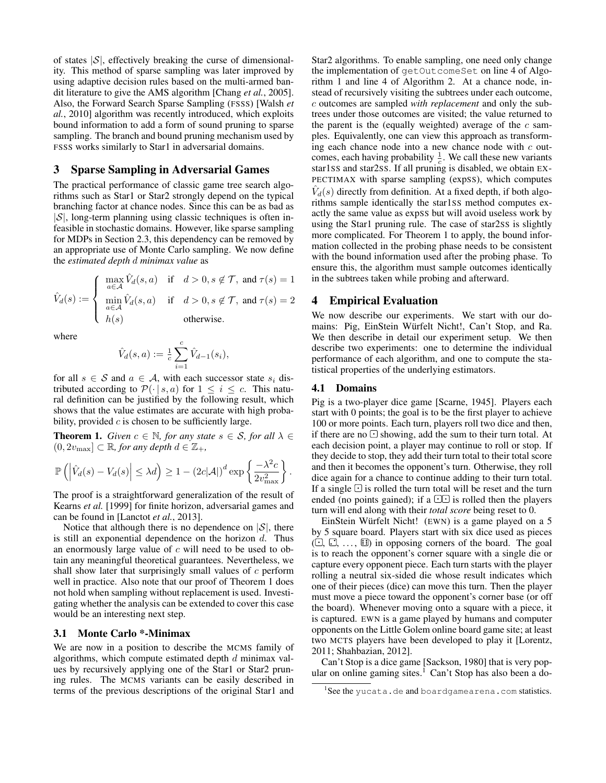of states  $|S|$ , effectively breaking the curse of dimensionality. This method of sparse sampling was later improved by using adaptive decision rules based on the multi-armed bandit literature to give the AMS algorithm [Chang *et al.*, 2005]. Also, the Forward Search Sparse Sampling (FSSS) [Walsh *et al.*, 2010] algorithm was recently introduced, which exploits bound information to add a form of sound pruning to sparse sampling. The branch and bound pruning mechanism used by FSSS works similarly to Star1 in adversarial domains.

## 3 Sparse Sampling in Adversarial Games

The practical performance of classic game tree search algorithms such as Star1 or Star2 strongly depend on the typical branching factor at chance nodes. Since this can be as bad as  $|S|$ , long-term planning using classic techniques is often infeasible in stochastic domains. However, like sparse sampling for MDPs in Section 2.3, this dependency can be removed by an appropriate use of Monte Carlo sampling. We now define the *estimated depth* d *minimax value* as

$$
\hat{V}_d(s) := \begin{cases} \max_{a \in \mathcal{A}} \hat{V}_d(s, a) & \text{if } d > 0, s \notin \mathcal{T}, \text{ and } \tau(s) = 1 \\ \min_{a \in \mathcal{A}} \hat{V}_d(s, a) & \text{if } d > 0, s \notin \mathcal{T}, \text{ and } \tau(s) = 2 \\ h(s) & \text{otherwise.} \end{cases}
$$

where

$$
\hat{V}_d(s, a) := \frac{1}{c} \sum_{i=1}^c \hat{V}_{d-1}(s_i),
$$

for all  $s \in \mathcal{S}$  and  $a \in \mathcal{A}$ , with each successor state  $s_i$  distributed according to  $\mathcal{P}(\cdot | s, a)$  for  $1 \leq i \leq c$ . This natural definition can be justified by the following result, which shows that the value estimates are accurate with high probability, provided  $c$  is chosen to be sufficiently large.

**Theorem 1.** *Given*  $c \in \mathbb{N}$ *, for any state*  $s \in \mathcal{S}$ *, for all*  $\lambda \in$  $(0, 2v_{\text{max}}] \subset \mathbb{R}$ *, for any depth*  $d \in \mathbb{Z}_+$ *,* 

$$
\mathbb{P}\left(\left|\hat{V}_d(s) - V_d(s)\right| \leq \lambda d\right) \geq 1 - \left(2c|\mathcal{A}|\right)^d \exp\left\{\frac{-\lambda^2 c}{2v_{\text{max}}^2}\right\}.
$$

The proof is a straightforward generalization of the result of Kearns *et al.* [1999] for finite horizon, adversarial games and can be found in [Lanctot *et al.*, 2013].

Notice that although there is no dependence on  $|S|$ , there is still an exponential dependence on the horizon  $d$ . Thus an enormously large value of  $c$  will need to be used to obtain any meaningful theoretical guarantees. Nevertheless, we shall show later that surprisingly small values of  $c$  perform well in practice. Also note that our proof of Theorem 1 does not hold when sampling without replacement is used. Investigating whether the analysis can be extended to cover this case would be an interesting next step.

#### 3.1 Monte Carlo \*-Minimax

We are now in a position to describe the MCMS family of algorithms, which compute estimated depth  $d$  minimax values by recursively applying one of the Star1 or Star2 pruning rules. The MCMS variants can be easily described in terms of the previous descriptions of the original Star1 and

Star2 algorithms. To enable sampling, one need only change the implementation of getOutcomeSet on line 4 of Algorithm 1 and line 4 of Algorithm 2. At a chance node, instead of recursively visiting the subtrees under each outcome, c outcomes are sampled *with replacement* and only the subtrees under those outcomes are visited; the value returned to the parent is the (equally weighted) average of the  $c$  samples. Equivalently, one can view this approach as transforming each chance node into a new chance node with  $c$  outcomes, each having probability  $\frac{1}{c}$ . We call these new variants star1SS and star2SS. If all pruning is disabled, we obtain EX-PECTIMAX with sparse sampling (expSS), which computes  $\hat{V}_d(s)$  directly from definition. At a fixed depth, if both algorithms sample identically the star1SS method computes exactly the same value as expSS but will avoid useless work by using the Star1 pruning rule. The case of star2SS is slightly more complicated. For Theorem 1 to apply, the bound information collected in the probing phase needs to be consistent with the bound information used after the probing phase. To ensure this, the algorithm must sample outcomes identically in the subtrees taken while probing and afterward.

## 4 Empirical Evaluation

We now describe our experiments. We start with our domains: Pig, EinStein Würfelt Nicht!, Can't Stop, and Ra. We then describe in detail our experiment setup. We then describe two experiments: one to determine the individual performance of each algorithm, and one to compute the statistical properties of the underlying estimators.

#### 4.1 Domains

Pig is a two-player dice game [Scarne, 1945]. Players each start with 0 points; the goal is to be the first player to achieve 100 or more points. Each turn, players roll two dice and then, if there are no  $\Box$  showing, add the sum to their turn total. At each decision point, a player may continue to roll or stop. If they decide to stop, they add their turn total to their total score and then it becomes the opponent's turn. Otherwise, they roll dice again for a chance to continue adding to their turn total. If a single  $\Box$  is rolled the turn total will be reset and the turn ended (no points gained); if a  $\circlearrowright$  is rolled then the players turn will end along with their *total score* being reset to 0.

EinStein Würfelt Nicht! (EWN) is a game played on a 5 by 5 square board. Players start with six dice used as pieces  $( \bigcirc$ ,  $\circledcirc$ ,  $\circ$ ,  $\circledcirc$ , in opposing corners of the board. The goal is to reach the opponent's corner square with a single die or capture every opponent piece. Each turn starts with the player rolling a neutral six-sided die whose result indicates which one of their pieces (dice) can move this turn. Then the player must move a piece toward the opponent's corner base (or off the board). Whenever moving onto a square with a piece, it is captured. EWN is a game played by humans and computer opponents on the Little Golem online board game site; at least two MCTS players have been developed to play it [Lorentz, 2011; Shahbazian, 2012].

Can't Stop is a dice game [Sackson, 1980] that is very popular on online gaming sites.<sup>1</sup> Can't Stop has also been a do-

<sup>&</sup>lt;sup>1</sup>See the yucata.de and boardgamearena.com statistics.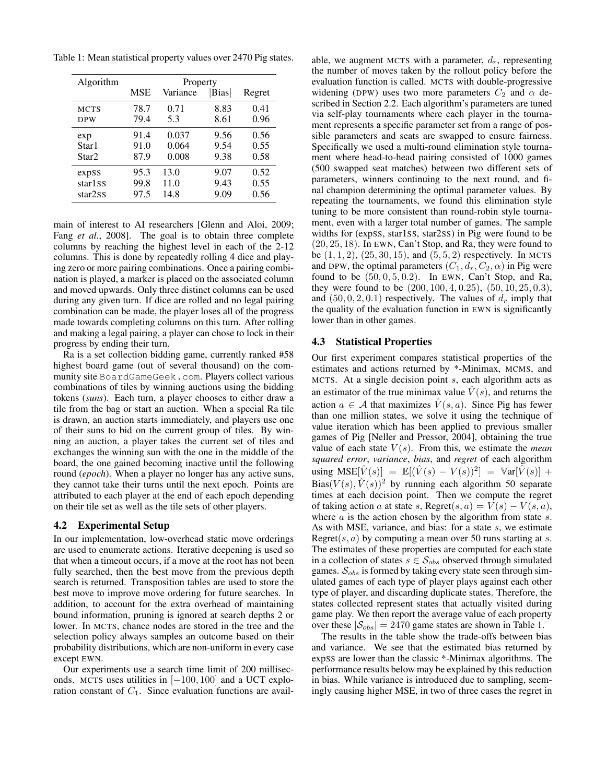Table 1: Mean statistical property values over 2470 Pig states.

| Algorithm           | Property |          |             |        |
|---------------------|----------|----------|-------------|--------|
|                     | MSE      | Variance | <b>Bias</b> | Regret |
| <b>MCTS</b>         | 78.7     | 0.71     | 8.83        | 0.41   |
| <b>DPW</b>          | 79.4     | 5.3      | 8.61        | 0.96   |
| exp                 | 91.4     | 0.037    | 9.56        | 0.56   |
| Star1               | 91.0     | 0.064    | 9.54        | 0.55   |
| Star2               | 87.9     | 0.008    | 9.38        | 0.58   |
| expSS               | 95.3     | 13.0     | 9.07        | 0.52   |
| star1 <sub>SS</sub> | 99.8     | 11.0     | 9.43        | 0.55   |
| star2ss             | 97.5     | 14.8     | 9.09        | 0.56   |

main of interest to AI researchers [Glenn and Aloi, 2009; Fang *et al.*, 2008]. The goal is to obtain three complete columns by reaching the highest level in each of the 2-12 columns. This is done by repeatedly rolling 4 dice and playing zero or more pairing combinations. Once a pairing combination is played, a marker is placed on the associated column and moved upwards. Only three distinct columns can be used during any given turn. If dice are rolled and no legal pairing combination can be made, the player loses all of the progress made towards completing columns on this turn. After rolling and making a legal pairing, a player can chose to lock in their progress by ending their turn.

Ra is a set collection bidding game, currently ranked #58 highest board game (out of several thousand) on the community site BoardGameGeek.com. Players collect various combinations of tiles by winning auctions using the bidding tokens (*suns*). Each turn, a player chooses to either draw a tile from the bag or start an auction. When a special Ra tile is drawn, an auction starts immediately, and players use one of their suns to bid on the current group of tiles. By winning an auction, a player takes the current set of tiles and exchanges the winning sun with the one in the middle of the board, the one gained becoming inactive until the following round (*epoch*). When a player no longer has any active suns, they cannot take their turns until the next epoch. Points are attributed to each player at the end of each epoch depending on their tile set as well as the tile sets of other players.

#### 4.2 Experimental Setup

In our implementation, low-overhead static move orderings are used to enumerate actions. Iterative deepening is used so that when a timeout occurs, if a move at the root has not been fully searched, then the best move from the previous depth search is returned. Transposition tables are used to store the best move to improve move ordering for future searches. In addition, to account for the extra overhead of maintaining bound information, pruning is ignored at search depths 2 or lower. In MCTS, chance nodes are stored in the tree and the selection policy always samples an outcome based on their probability distributions, which are non-uniform in every case except EWN.

Our experiments use a search time limit of 200 milliseconds. MCTS uses utilities in [−100, 100] and a UCT exploration constant of  $C_1$ . Since evaluation functions are available, we augment MCTS with a parameter,  $d_r$ , representing the number of moves taken by the rollout policy before the evaluation function is called. MCTS with double-progressive widening (DPW) uses two more parameters  $C_2$  and  $\alpha$  described in Section 2.2. Each algorithm's parameters are tuned via self-play tournaments where each player in the tournament represents a specific parameter set from a range of possible parameters and seats are swapped to ensure fairness. Specifically we used a multi-round elimination style tournament where head-to-head pairing consisted of 1000 games (500 swapped seat matches) between two different sets of parameters, winners continuing to the next round, and final champion determining the optimal parameter values. By repeating the tournaments, we found this elimination style tuning to be more consistent than round-robin style tournament, even with a larger total number of games. The sample widths for (expSS, star1SS, star2SS) in Pig were found to be (20, 25, 18). In EWN, Can't Stop, and Ra, they were found to be  $(1, 1, 2)$ ,  $(25, 30, 15)$ , and  $(5, 5, 2)$  respectively. In MCTS and DPW, the optimal parameters  $(C_1, d_r, C_2, \alpha)$  in Pig were found to be  $(50, 0, 5, 0.2)$ . In EWN, Can't Stop, and Ra, they were found to be (200, 100, 4, 0.25), (50, 10, 25, 0.3), and  $(50, 0, 2, 0.1)$  respectively. The values of  $d_r$  imply that the quality of the evaluation function in EWN is significantly lower than in other games.

## 4.3 Statistical Properties

Our first experiment compares statistical properties of the estimates and actions returned by \*-Minimax, MCMS, and MCTS. At a single decision point  $s$ , each algorithm acts as an estimator of the true minimax value  $\hat{V}(s)$ , and returns the action  $a \in \mathcal{A}$  that maximizes  $\hat{V}(s, a)$ . Since Pig has fewer than one million states, we solve it using the technique of value iteration which has been applied to previous smaller games of Pig [Neller and Pressor, 2004], obtaining the true value of each state  $V(s)$ . From this, we estimate the *mean squared error*, *variance*, *bias*, and *regret* of each algorithm using  $\text{MSE}[\hat{V}(s)] = \mathbb{E}[(\hat{V}(s) - V(s))^2] = \text{Var}[\hat{V}(s)] +$ Bias $(V(s), \hat{V}(s))^2$  by running each algorithm 50 separate times at each decision point. Then we compute the regret of taking action a at state s, Regret $(s, a) = V(s) - V(s, a)$ , where  $a$  is the action chosen by the algorithm from state  $s$ . As with MSE, variance, and bias: for a state s, we estimate Regret(s,  $a$ ) by computing a mean over 50 runs starting at s. The estimates of these properties are computed for each state in a collection of states  $s \in S_{obs}$  observed through simulated games.  $S_{obs}$  is formed by taking every state seen through simulated games of each type of player plays against each other type of player, and discarding duplicate states. Therefore, the states collected represent states that actually visited during game play. We then report the average value of each property over these  $|\mathcal{S}_{obs}| = 2470$  game states are shown in Table 1.

The results in the table show the trade-offs between bias and variance. We see that the estimated bias returned by expSS are lower than the classic \*-Minimax algorithms. The performance results below may be explained by this reduction in bias. While variance is introduced due to sampling, seemingly causing higher MSE, in two of three cases the regret in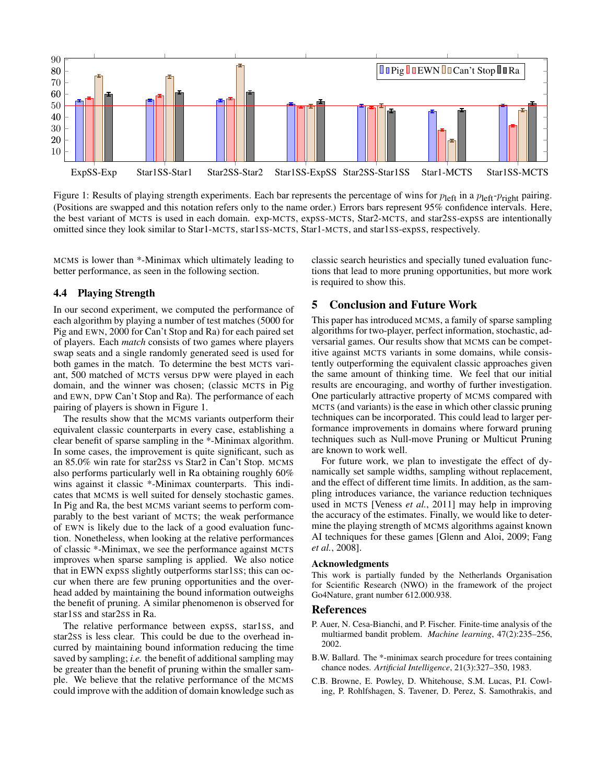

Figure 1: Results of playing strength experiments. Each bar represents the percentage of wins for  $p_{\text{left}}$  in a  $p_{\text{left}}-p_{\text{right}}$  pairing. (Positions are swapped and this notation refers only to the name order.) Errors bars represent 95% confidence intervals. Here, the best variant of MCTS is used in each domain. exp-MCTS, expSS-MCTS, Star2-MCTS, and star2SS-expSS are intentionally omitted since they look similar to Star1-MCTS, star1SS-MCTS, Star1-MCTS, and star1SS-expSS, respectively.

MCMS is lower than \*-Minimax which ultimately leading to better performance, as seen in the following section.

# 4.4 Playing Strength

In our second experiment, we computed the performance of each algorithm by playing a number of test matches (5000 for Pig and EWN, 2000 for Can't Stop and Ra) for each paired set of players. Each *match* consists of two games where players swap seats and a single randomly generated seed is used for both games in the match. To determine the best MCTS variant, 500 matched of MCTS versus DPW were played in each domain, and the winner was chosen; (classic MCTS in Pig and EWN, DPW Can't Stop and Ra). The performance of each pairing of players is shown in Figure 1.

The results show that the MCMS variants outperform their equivalent classic counterparts in every case, establishing a clear benefit of sparse sampling in the \*-Minimax algorithm. In some cases, the improvement is quite significant, such as an 85.0% win rate for star2SS vs Star2 in Can't Stop. MCMS also performs particularly well in Ra obtaining roughly 60% wins against it classic \*-Minimax counterparts. This indicates that MCMS is well suited for densely stochastic games. In Pig and Ra, the best MCMS variant seems to perform comparably to the best variant of MCTS; the weak performance of EWN is likely due to the lack of a good evaluation function. Nonetheless, when looking at the relative performances of classic \*-Minimax, we see the performance against MCTS improves when sparse sampling is applied. We also notice that in EWN expSS slightly outperforms star1SS; this can occur when there are few pruning opportunities and the overhead added by maintaining the bound information outweighs the benefit of pruning. A similar phenomenon is observed for star1SS and star2SS in Ra.

The relative performance between expSS, star1SS, and star2SS is less clear. This could be due to the overhead incurred by maintaining bound information reducing the time saved by sampling; *i.e.* the benefit of additional sampling may be greater than the benefit of pruning within the smaller sample. We believe that the relative performance of the MCMS could improve with the addition of domain knowledge such as classic search heuristics and specially tuned evaluation functions that lead to more pruning opportunities, but more work is required to show this.

## 5 Conclusion and Future Work

This paper has introduced MCMS, a family of sparse sampling algorithms for two-player, perfect information, stochastic, adversarial games. Our results show that MCMS can be competitive against MCTS variants in some domains, while consistently outperforming the equivalent classic approaches given the same amount of thinking time. We feel that our initial results are encouraging, and worthy of further investigation. One particularly attractive property of MCMS compared with MCTS (and variants) is the ease in which other classic pruning techniques can be incorporated. This could lead to larger performance improvements in domains where forward pruning techniques such as Null-move Pruning or Multicut Pruning are known to work well.

For future work, we plan to investigate the effect of dynamically set sample widths, sampling without replacement, and the effect of different time limits. In addition, as the sampling introduces variance, the variance reduction techniques used in MCTS [Veness *et al.*, 2011] may help in improving the accuracy of the estimates. Finally, we would like to determine the playing strength of MCMS algorithms against known AI techniques for these games [Glenn and Aloi, 2009; Fang *et al.*, 2008].

#### Acknowledgments

This work is partially funded by the Netherlands Organisation for Scientific Research (NWO) in the framework of the project Go4Nature, grant number 612.000.938.

#### References

- P. Auer, N. Cesa-Bianchi, and P. Fischer. Finite-time analysis of the multiarmed bandit problem. *Machine learning*, 47(2):235–256, 2002.
- B.W. Ballard. The \*-minimax search procedure for trees containing chance nodes. *Artificial Intelligence*, 21(3):327–350, 1983.
- C.B. Browne, E. Powley, D. Whitehouse, S.M. Lucas, P.I. Cowling, P. Rohlfshagen, S. Tavener, D. Perez, S. Samothrakis, and